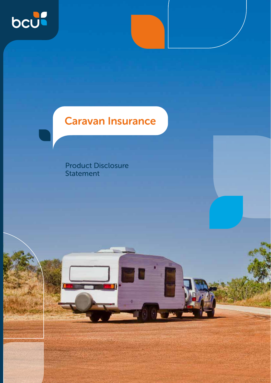

## Caravan Insurance

Product Disclosure Statement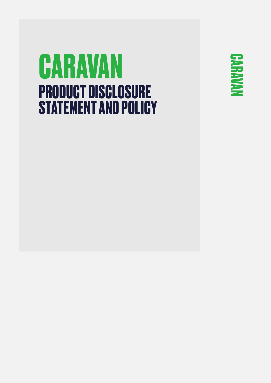# **CARAVAN PRODUCT DISCLOSURE STATEMENT AND POLICY**

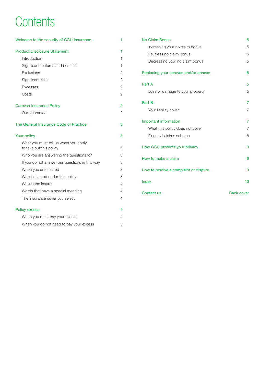## **Contents**

| Welcome to the security of CGU Insurance                        | 1              |
|-----------------------------------------------------------------|----------------|
| <b>Product Disclosure Statement</b>                             | 1              |
| Introduction                                                    | 1              |
| Significant features and benefits                               | 1              |
| Exclusions                                                      | $\overline{2}$ |
| Significant risks                                               | 2              |
| <b>Excesses</b>                                                 | $\overline{2}$ |
| Costs                                                           | $\overline{2}$ |
| Caravan Insurance Policy                                        | $\overline{2}$ |
| Our guarantee                                                   | 2              |
| The General Insurance Code of Practice                          | 3              |
| Your policy                                                     | 3              |
| What you must tell us when you apply<br>to take out this policy | 3              |
| Who you are answering the questions for                         | 3              |
| If you do not answer our questions in this way                  | 3              |
| When you are insured                                            | 3              |
| Who is insured under this policy                                | 3              |
| Who is the insurer                                              | 4              |
| Words that have a special meaning                               | 4              |
| The insurance cover you select                                  | 4              |
| <b>Policy excess</b>                                            | 4              |
| When you must pay your excess                                   | 4              |
| When you do not need to pay your excess                         | 5              |

| <b>No Claim Bonus</b>                 | 5                 |
|---------------------------------------|-------------------|
| Increasing your no claim bonus        | 5                 |
| Faultless no claim bonus              | 5                 |
| Decreasing your no claim bonus        | 5                 |
| Replacing your caravan and/or annexe  | 5                 |
| Part A                                | 5                 |
| Loss or damage to your property       | 5                 |
| Part B                                | 7                 |
| Your liability cover                  | 7                 |
| Important information                 | 7                 |
| What this policy does not cover       | $\overline{7}$    |
| Financial claims scheme               | 8                 |
| How CGU protects your privacy         | 9                 |
| How to make a claim                   | 9                 |
| How to resolve a complaint or dispute | 9                 |
| Index                                 | 10                |
| Contact us                            | <b>Back cover</b> |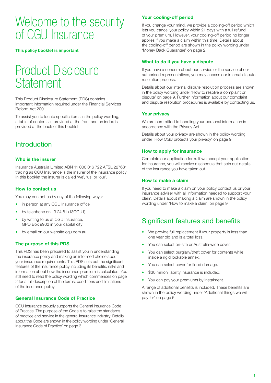## Welcome to the security of CGU Insurance

**This policy booklet is important** 

## Product Disclosure **Statement**

This Product Disclosure Statement (PDS) contains important information required under the Financial Services Reform Act 2001.

To assist you to locate specific items in the policy wording, a table of contents is provided at the front and an index is provided at the back of this booklet.

### **Introduction**

#### **Who is the insurer**

Insurance Australia Limited ABN 11 000 016 722 AFSL 227681 trading as CGU Insurance is the insurer of the insurance policy. In this booklet the insurer is called 'we', 'us' or 'our'.

#### **How to contact us**

You may contact us by any of the following ways:

- in person at any CGU Insurance office
- by telephone on 13 24 81 (13CGU1)
- by writing to us at CGU Insurance, GPO Box 9902 in your capital city
- by email on our website cgu.com.au

### **The purpose of this PDS**

This PDS has been prepared to assist you in understanding the insurance policy and making an informed choice about your insurance requirements. This PDS sets out the significant features of the insurance policy including its benefits, risks and information about how the insurance premium is calculated. You still need to read the policy wording which commences on page 2 for a full description of the terms, conditions and limitations of the insurance policy.

#### **General Insurance Code of Practice**

CGU Insurance proudly supports the General Insurance Code of Practice. The purpose of the Code is to raise the standards of practice and service in the general insurance industry. Details about the Code are shown in the policy wording under 'General Insurance Code of Practice' on page 3.

### **Your cooling-off period**

If you change your mind, we provide a cooling-off period which lets you cancel your policy within 21 days with a full refund of your premium. However, your cooling-off period no longer applies if you make a claim within this time. Details about the cooling-off period are shown in the policy wording under 'Money Back Guarantee' on page 2.

#### **What to do if you have a dispute**

If you have a concern about our service or the service of our authorised representatives, you may access our internal dispute resolution process.

Details about our internal dispute resolution process are shown in the policy wording under 'How to resolve a complaint or dispute' on page 9. Further information about our complaint and dispute resolution procedures is available by contacting us.

#### **Your privacy**

We are committed to handling your personal information in accordance with the Privacy Act.

Details about your privacy are shown in the policy wording under 'How CGU protects your privacy' on page 9.

#### **How to apply for insurance**

Complete our application form. If we accept your application for insurance, you will receive a schedule that sets out details of the insurance you have taken out.

#### **How to make a claim**

If you need to make a claim on your policy contact us or your insurance adviser with all information needed to support your claim. Details about making a claim are shown in the policy wording under 'How to make a claim' on page 9.

## Significant features and benefits

- We provide full replacement if your property is less than one year old and is a total loss.
- You can select on-site or Australia-wide cover.
- You can select burglary/theft cover for contents while inside a rigid lockable annex.
- You can select cover for flood damage.
- \$30 million liability insurance is included.
- You can pay your premiums by instalment.

A range of additional benefits is included. These benefits are shown in the policy wording under 'Additional things we will pay for' on page 6.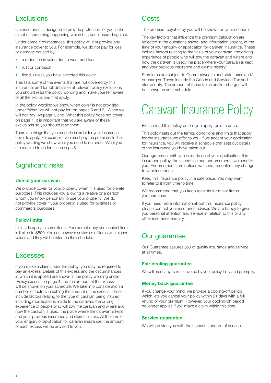## **Exclusions**

Our insurance is designed to provide protection for you in the event of something happening which has been insured against.

Under some circumstances, this policy will not provide any insurance cover to you. For example, we do not pay for loss or damage caused by:

- a reduction in value due to wear and tear
- rust or corrosion
- flood, unless you have selected this cover.

This lists some of the events that are not covered by this insurance, and for full details of all relevant policy exclusions you should read the policy wording and make yourself aware of all the exclusions that apply.

In the policy wording we show when cover is not provided under 'What we will not pay for' on pages 5 and 6, 'When we will not pay' on page 7, and 'What this policy does not cover' on page 7. It is important that you are aware of these exclusions so you should read them.

There are things that you must do in order for your insurance cover to apply. For example, you must pay the premium. In the policy wording we show what you need to do under 'What you are required to do for us' on page 8.

## Significant risks

#### **Use of your caravan**

We provide cover for your property when it is used for private purposes. This includes you allowing a relative or a person whom you know personally to use your property. We do not provide cover if your property is used for business or commercial purposes.

#### **Policy limits**

Limits do apply to some items. For example, any one content item is limited to \$500. You can however advise us of items with higher values and they will be listed on the schedule.

### Excesses

If you make a claim under the policy, you may be required to pay an excess. Details of this excess and the circumstances in which it is applied are shown in the policy wording under 'Policy excess' on page 4 and the amount of the excess will be shown on your schedule. We take into consideration a number of factors in setting the amount of the excess. These include factors relating to the type of caravan being insured including modifications made to the caravan, the driving experience of people who will tow the caravan and where and how the caravan is used, the place where the caravan is kept and your previous insurance and claims history. At the time of your enquiry or application for caravan insurance, the amount of each excess will be advised to you.

## **Costs**

The premium payable by you will be shown on your schedule.

The key factors that influence the premium calculation are reflected in the questions asked, and information sought, at the time of your enquiry or application for caravan insurance. These include factors relating to the value of your caravan, the driving experience of people who will tow the caravan and where and how the caravan is used, the place where your caravan is kept and your previous insurance and claims history.

Premiums are subject to Commonwealth and state taxes and/ or charges. These include the Goods and Services Tax and stamp duty. The amount of these taxes and/or charges will be shown on your schedule.

## Caravan Insurance Policy

Please read this policy before you apply for insurance.

This policy sets out the terms, conditions and limits that apply for the insurance we offer to you. If we accept your application for insurance, you will receive a schedule that sets out details of the insurance you have taken out.

Our agreement with you is made up of your application, this insurance policy, the schedules and endorsements we send to you. Endorsements are notices we send to confirm any change to your insurance.

Keep this insurance policy in a safe place. You may want to refer to it from time to time.

We recommend that you keep receipts for major items you purchase.

If you need more information about this insurance policy, please contact your insurance adviser. We are happy to give you personal attention and service in relation to this or any other insurance enquiry.

## Our guarantee

Our Guarantee assures you of quality insurance and service at all times.

#### **Fair dealing guarantee**

We will meet any claims covered by your policy fairly and promptly.

#### **Money back guarantee**

If you change your mind, we provide a cooling-off period which lets you cancel your policy within 21 days with a full refund of your premium. However, your cooling-off period no longer applies if you make a claim within this time.

#### **Service guarantee**

We will provide you with the highest standard of service.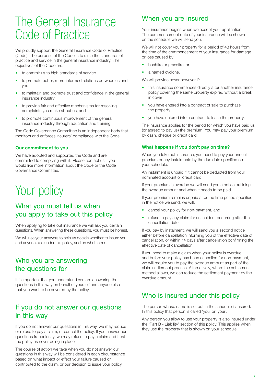## The General Insurance Code of Practice

We proudly support the General Insurance Code of Practice (Code). The purpose of the Code is to raise the standards of practice and service in the general insurance industry. The objectives of the Code are:

- to commit us to high standards of service
- to promote better, more-informed relations between us and you
- to maintain and promote trust and confidence in the general insurance industry
- to provide fair and effective mechanisms for resolving complaints you make about us, and
- to promote continuous improvement of the general insurance industry through education and training.

The Code Governance Committee is an independent body that monitors and enforces insurers' compliance with the Code.

#### **Our commitment to you**

We have adopted and supported the Code and are committed to complying with it. Please contact us if you would like more information about the Code or the Code Governance Committee.

## Your policy

## What you must tell us when you apply to take out this policy

When applying to take out insurance we will ask you certain questions. When answering these questions, you must be honest.

We will use your answers to help us decide whether to insure you and anyone else under this policy, and on what terms.

## Who you are answering the questions for

It is important that you understand you are answering the questions in this way on behalf of yourself and anyone else that you want to be covered by the policy.

## If you do not answer our questions in this way

If you do not answer our questions in this way, we may reduce or refuse to pay a claim, or cancel the policy. If you answer our questions fraudulently, we may refuse to pay a claim and treat the policy as never being in place.

The course of action we take when you do not answer our questions in this way will be considered in each circumstance based on what impact or effect your failure caused or contributed to the claim, or our decision to issue your policy.

## When you are insured

Your insurance begins when we accept your application. The commencement date of your insurance will be shown on the schedule we will send you.

We will not cover your property for a period of 48 hours from the time of the commencement of your insurance for damage or loss caused by:

- bushfire or grassfire, or
- a named cyclone.

We will provide cover however if:

- this insurance commences directly after another insurance policy covering the same property expired without a break in cover
- you have entered into a contract of sale to purchase the property
- you have entered into a contract to lease the property.

The insurance applies for the period for which you have paid us (or agreed to pay us) the premium. You may pay your premium by cash, cheque or credit card.

#### **What happens if you don't pay on time?**

When you take out insurance, you need to pay your annual premium or any instalments by the due date specified on your schedule.

An instalment is unpaid if it cannot be deducted from your nominated account or credit card.

If your premium is overdue we will send you a notice outlining the overdue amount and when it needs to be paid.

If your premium remains unpaid after the time period specified in the notice we send, we will:

- cancel your policy for non-payment, and
- refuse to pay any claim for an incident occurring after the cancellation date.

If you pay by instalment, we will send you a second notice either before cancellation informing you of the effective date of cancellation, or within 14 days after cancellation confirming the effective date of cancellation.

If you need to make a claim when your policy is overdue, and before your policy has been cancelled for non-payment, we will require you to pay the overdue amount as part of the claim settlement process. Alternatively, where the settlement method allows, we can reduce the settlement payment by the overdue amount.

## Who is insured under this policy

The person whose name is set out in the schedule is insured. In this policy that person is called 'you' or 'your'.

Any person you allow to use your property is also insured under the 'Part B - Liability' section of this policy. This applies when they use the property that is shown on your schedule.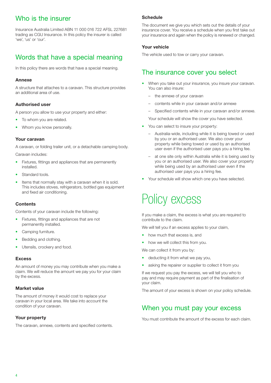## Who is the insurer

Insurance Australia Limited ABN 11 000 016 722 AFSL 227681 trading as CGU Insurance. In this policy the insurer is called 'we', 'us' or 'our'.

## Words that have a special meaning

In this policy there are words that have a special meaning.

#### **Annexe**

A structure that attaches to a caravan. This structure provides an additional area of use.

### **Authorised user**

A person you allow to use your property and either:

- To whom you are related.
- Whom you know personally.

#### **Your caravan**

A caravan, or folding trailer unit, or a detachable camping body.

Caravan includes:

- Fixtures, fittings and appliances that are permanently installed.
- Standard tools.
- Items that normally stay with a caravan when it is sold. This includes stoves, refrigerators, bottled gas equipment and fixed air conditioning.

#### **Contents**

Contents of your caravan include the following:

- Fixtures, fittings and appliances that are not permanently installed.
- Camping furniture.
- Bedding and clothing.
- Utensils, crockery and food.

#### **Excess**

An amount of money you may contribute when you make a claim. We will reduce the amount we pay you for your claim by the excess.

#### **Market value**

The amount of money it would cost to replace your caravan in your local area. We take into account the condition of your caravan.

### **Your property**

The caravan, annexe, contents and specified contents.

#### **Schedule**

The document we give you which sets out the details of your insurance cover. You receive a schedule when you first take out your insurance and again when the policy is renewed or changed.

### **Your vehicle**

The vehicle used to tow or carry your caravan.

## The insurance cover you select

- When you take out your insurance, you insure your caravan. You can also insure:
	- the annexe of your caravan
	- contents while in your caravan and/or annexe
	- Specified contents while in your caravan and/or annexe.
	- Your schedule will show the cover you have selected.
- You can select to insure your property:
	- Australia-wide, including while it is being towed or used by you or an authorised user. We also cover your property while being towed or used by an authorised user even if the authorised user pays you a hiring fee.
	- at one site only within Australia while it is being used by you or an authorised user. We also cover your property while being used by an authorised user even if the authorised user pays you a hiring fee.
- Your schedule will show which one you have selected.

## Policy excess

If you make a claim, the excess is what you are required to contribute to the claim.

We will tell you if an excess applies to your claim,

- how much that excess is, and
- how we will collect this from you.

We can collect it from you by:

- deducting it from what we pay you,
- asking the repairer or supplier to collect it from you

If we request you pay the excess, we will tell you who to pay and may require payment as part of the finalisation of your claim.

The amount of your excess is shown on your policy schedule.

## When you must pay your excess

You must contribute the amount of the excess for each claim.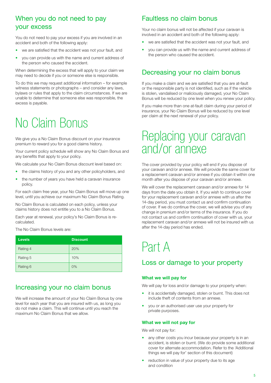## When you do not need to pay your excess

You do not need to pay your excess if you are involved in an accident and both of the following apply:

- we are satisfied that the accident was not your fault, and
- you can provide us with the name and current address of the person who caused the accident.

When determining the excess that will apply to your claim we may need to decide if you or someone else is responsible.

To do this we may request additional information – for example witness statements or photographs – and consider any laws, bylaws or rules that apply to the claim circumstances. If we are unable to determine that someone else was responsible, the excess is payable.

## No Claim Bonus

We give you a No Claim Bonus discount on your insurance premium to reward you for a good claims history.

Your current policy schedule will show any No Claim Bonus and any benefits that apply to your policy.

We calculate your No Claim Bonus discount level based on:

- the claims history of you and any other policyholders, and
- the number of years you have held a caravan insurance policy.

For each claim free year, your No Claim Bonus will move up one level, until you achieve our maximum No Claim Bonus Rating.

No Claim Bonus is calculated on each policy, unless your claims history does not entitle you to a No Claim Bonus.

Each year at renewal, your policy's No Claim Bonus is recalculated.

The No Claim Bonus levels are:

| <b>Levels</b> | <b>Discount</b> |
|---------------|-----------------|
| Rating 4      | 20%             |
| Rating 5      | 10%             |
| Rating 6      | 0%              |

## Increasing your no claim bonus

We will increase the amount of your No Claim Bonus by one level for each year that you are insured with us, as long you do not make a claim. This will continue until you reach the maximum No Claim Bonus that we allow.

## Faultless no claim bonus

Your no claim bonus will not be affected if your caravan is involved in an accident and both of the following apply:

- we are satisfied that the accident was not your fault, and
- you can provide us with the name and current address of the person who caused the accident.

### Decreasing your no claim bonus

If you make a claim and we are satisfied that you are at-fault or the responsible party is not identified, such as if the vehicle is stolen, vandalised or maliciously damaged, your No Claim Bonus will be reduced by one level when you renew your policy.

If you make more than one at-fault claim during your period of insurance, your No Claim Bonus will be reduced by one level per claim at the next renewal of your policy.

## Replacing your caravan and/or annexe

The cover provided by your policy will end if you dispose of your caravan and/or annexe. We will provide the same cover for a replacement caravan and/or annexe if you obtain it within one month after you dispose of your caravan and/or annexe.

We will cover the replacement caravan and/or annexe for 14 days from the date you obtain it. If you wish to continue cover for your replacement caravan and/or annexe with us after the 14-day period, you must contact us and confirm continuation of cover. If we do continue the cover, we will advise you of any change in premium and/or terms of the insurance. If you do not contact us and confirm continuation of cover with us, your replacement caravan and/or annexe will not be insured with us after the 14-day period has ended.

## Part A

## Loss or damage to your property

#### **What we will pay for**

We will pay for loss and/or damage to your property when:

- it is accidentally damaged, stolen or burnt. This does not include theft of contents from an annexe.
- you or an authorised user use your property for private purposes.

#### **What we will not pay for**

We will not pay for:

- any other costs you incur because your property is in an accident, is stolen or burnt. (We do provide some additional cover for alternate accommodation. Refer to the 'Additional things we will pay for' section of this document)
- reduction in value of your property due to its age and condition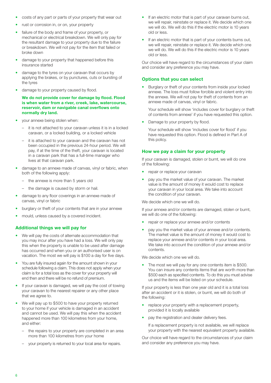- costs of any part or parts of your property that wear out
- rust or corrosion in, or on, your property
- failure of the body and frame of your property, or mechanical or electrical breakdown. We will only pay for the resultant damage to your property due to the failure or breakdown. We will not pay for the item that failed or broke down
- damage to your property that happened before this insurance started
- damage to the tyres on your caravan that occurs by applying the brakes, or by punctures, cuts or bursting of the tyres
- damage to your property caused by flood.

**We do not provide cover for damage by flood. Flood is when water from a river, creek, lake, watercourse, reservoir, dam or navigable canal overflows onto normally dry land.** 

- your annexe being stolen when:
	- it is not attached to your caravan unless it is in a locked caravan, or a locked building, or a locked vehicle
	- it is attached to your caravan and the caravan has not been occupied in the previous 24-hour period. We will pay, if at the time of the theft, your caravan is located in a caravan park that has a full-time manager who lives at that caravan park.
- damage to an annexe made of canvas, vinyl or fabric, when both of the following apply:
	- the annexe is more than 5 years old
	- the damage is caused by storm or hail.
- damage to any floor coverings in an annexe made of canvas, vinyl or fabric
- burglary or theft of your contents that are in your annexe
- mould, unless caused by a covered incident.

### **Additional things we will pay for**

- We will pay the costs of alternate accommodation that you may incur after you have had a loss. We will only pay this when the property is unable to be used after damage has occurred and when you or an authorised user is on vacation. The most we will pay is \$100 a day for five days.
- You are fully insured again for the amount shown in your schedule following a claim. This does not apply when your claim is for a total loss as the cover for your property will end then and there will be no refund of premium.
- If your caravan is damaged, we will pay the cost of towing your caravan to the nearest repairer or any other place that we agree to.
- We will pay up to \$500 to have your property returned to your home if your vehicle is damaged in an accident and cannot be used. We will pay this when the accident happened more than 100 kilometres from your home, and either:
	- the repairs to your property are completed in an area more than 100 kilometres from your home
	- your property is returned to your local area for repairs.
- If an electric motor that is part of your caravan burns out, we will repair, reinstate or replace it. We decide which one we will do. We will do this if the electric motor is 10 years old or less.
- If an electric motor that is part of your contents burns out, we will repair, reinstate or replace it. We decide which one we will do. We will do this if the electric motor is 10 years old or less.

Our choice will have regard to the circumstances of your claim and consider any preference you may have.

### **Options that you can select**

• Burglary or theft of your contents from inside your locked annexe. The loss must follow forcible and violent entry into the annexe. We will not pay for theft of contents from an annexe made of canvas, vinyl or fabric.

Your schedule will show 'includes cover for burglary or theft of contents from annexe' if you have requested this option.

Damage to your property by flood.

Your schedule will show 'includes cover for flood' if you have requested this option. Flood is defined in Part A of this policy.

### **How we pay a claim for your property**

If your caravan is damaged, stolen or burnt, we will do one of the following:

- repair or replace your caravan
- pay you the market value of your caravan. The market value is the amount of money it would cost to replace your caravan in your local area. We take into account the condition of your caravan.

We decide which one we will do.

If your annexe and/or contents are damaged, stolen or burnt, we will do one of the following:

- repair or replace your annexe and/or contents
- pay you the market value of your annexe and/or contents. The market value is the amount of money it would cost to replace your annexe and/or contents in your local area. We take into account the condition of your annexe and/or contents.

We decide which one we will do.

The most we will pay for any one contents item is \$500. You can insure any contents items that are worth more than \$500 each as specified contents. To do this you must advise us and the items will be listed on your schedule.

If your property is less than one year old and it is a total loss after an accident or it is stolen, or burnt, we will do both of the following:

- replace your property with a replacement property, provided it is locally available
- pay the registration and dealer delivery fees.

If a replacement property is not available, we will replace your property with the nearest equivalent property available.

Our choice will have regard to the circumstances of your claim and consider any preference you may have.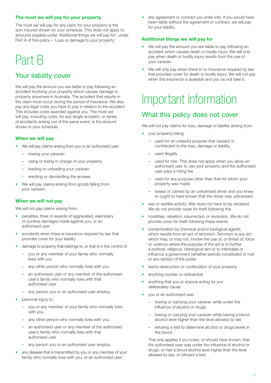### **The most we will pay for your property**

The most we will pay for any claim for your property is the sum insured shown on your schedule. This does not apply to amounts payable under 'Additional things we will pay for', under Part A of this policy – 'Loss or damage to your property'.

## Part B

## Your liability cover

We will pay the amount you are liable to pay following an accident involving your property which causes damage to property anywhere in Australia. The accident that results in the claim must occur during the period of insurance. We also pay any legal costs you have to pay in relation to the accident. This includes costs awarded against you. The most we will pay, including costs, for any single accident, or series of accidents arising out of the same event, is the amount shown in your schedule.

#### **When we will pay**

- We will pay claims arising from you or an authorised user:
	- towing your caravan
	- using or being in charge of your property
	- loading or unloading your caravan
	- erecting or dismantling the annexe.
- We will pay claims arising from goods falling from your caravan.

#### **When we will not pay**

We will not pay claims arising from:

- penalties, fines or awards of aggravated, exemplary or punitive damages made against you, or an authorised user
- accidents when there is insurance required by law that provides cover for your liability
- damage to property that belongs to, or that is in the control of:
	- you or any member of your family who normally lives with you
	- any other person who normally lives with you
	- an authorised user or any member of the authorised user's family who normally lives with that authorised user
	- any person you or an authorised user employ.
- personal injury to:
	- you or any member of your family who normally lives with you
	- any other person who normally lives with you
	- an authorised user or any member of the authorised user's family who normally lives with that authorised user
	- any person you or an authorised user employ.
- any disease that is transmitted by you or any member of your family who normally lives with you, or an authorised user

• any agreement or contract you enter into. If you would have been liable without the agreement or contract, we will pay for your liability.

#### **Additional things we will pay for**

- We will pay the amount you are liable to pay following an accident which causes death or bodily injury. We will only pay when death or bodily injury results from the use of your caravan.
- We will only pay when there is no insurance required by law that provides cover for death or bodily injury. We will not pay when this insurance is available and you do not take it.

## Important information

## What this policy does not cover

We will not pay claims for loss, damage or liability arising from:

- your property being:
	- used for an unlawful purpose that caused or contributed to the loss, damage or liability
	- used illegally
	- used for hire. This does not apply when you allow an authorised user to use your property and the authorised user pays a hiring fee
	- used for any purpose other than that for which your property was made
	- towed or carried by an unlicensed driver and you knew or ought to have known that the driver was unlicensed.
- war or warlike activity. War does not have to be declared. We do not provide cover for theft following this
- hostilities, rebellion, insurrection or revolution. We do not provide cover for theft following these events
- contamination by chemical and/or biological agents, which results from an act of terrorism. Terrorism is any act which may, or may not, involve the use of, or threat of, force or violence where the purpose of the act is to further a political, religious, ideological aim or to intimidate or influence a government (whether lawfully constituted or not) or any section of the public
- lawful destruction or confiscation of your property
- anything nuclear or radioactive
- anything that you or anyone acting for you deliberately cause
- you or an authorised user:
	- towing or carrying your caravan while under the influence of alcohol or drugs
	- towing or carrying your caravan while having a blood alcohol level higher than the level allowed by law
	- refusing a test to determine alcohol or drugs levels in the blood.

This only applies if you knew, or should have known, that the authorised user was under the influence of alcohol or drugs, or had a blood alcohol level higher than the level allowed by law, or refused a test.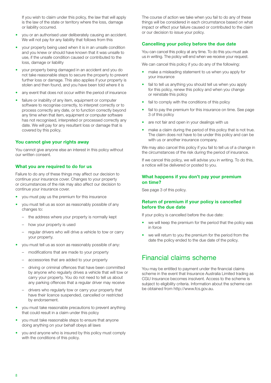If you wish to claim under this policy, the law that will apply is the law of the state or territory where the loss, damage or liability occurred.

- you or an authorised user deliberately causing an accident. We will not pay for any liability that follows from this
- your property being used when it is in an unsafe condition and you knew or should have known that it was unsafe to use, if the unsafe condition caused or contributed to the loss, damage or liability
- your property being damaged in an accident and you do not take reasonable steps to secure the property to prevent further loss or damage. This also applies if your property is stolen and then found, and you have been told where it is
- any event that does not occur within the period of insurance
- failure or inability of any item, equipment or computer software to recognise correctly, to interpret correctly or to process correctly any date, or to function correctly beyond any time when that item, equipment or computer software has not recognised, interpreted or processed correctly any date. We will pay for any resultant loss or damage that is covered by this policy.

#### **You cannot give your rights away**

You cannot give anyone else an interest in this policy without our written consent.

#### **What you are required to do for us**

Failure to do any of these things may affect our decision to continue your insurance cover. Changes to your property or circumstances of the risk may also affect our decision to continue your insurance cover.

- you must pay us the premium for this insurance
- you must tell us as soon as reasonably possible of any changes to:
	- the address where your property is normally kept
	- how your property is used
	- regular drivers who will drive a vehicle to tow or carry your property.
- you must tell us as soon as reasonably possible of any:
	- modifications that are made to your property
	- accessories that are added to your property
	- driving or criminal offences that have been committed by anyone who regularly drives a vehicle that will tow or carry your property. You do not need to tell us about any parking offences that a regular driver may receive
	- drivers who regularly tow or carry your property that have their licence suspended, cancelled or restricted by endorsement.
- you must take reasonable precautions to prevent anything that could result in a claim under this policy
- you must take reasonable steps to ensure that anyone doing anything on your behalf obeys all laws
- you and anyone who is insured by this policy must comply with the conditions of this policy.

The course of action we take when you fail to do any of these things will be considered in each circumstance based on what impact or effect your failure caused or contributed to the claim or our decision to issue your policy.

#### **Cancelling your policy before the due date**

You can cancel this policy at any time. To do this you must ask us in writing. The policy will end when we receive your request.

We can cancel this policy if you do any of the following:

- make a misleading statement to us when you apply for your insurance
- fail to tell us anything you should tell us when you apply for this policy, renew this policy and when you change or reinstate this policy
- fail to comply with the conditions of this policy
- fail to pay the premium for this insurance on time. See page 3 of this policy
- are not fair and open in your dealings with us
- make a claim during the period of this policy that is not true. The claim does not have to be under this policy and can be with us or another insurance company.

We may also cancel this policy if you fail to tell us of a change in the circumstances of the risk during the period of insurance.

If we cancel this policy, we will advise you in writing. To do this, a notice will be delivered or posted to you.

#### **What happens if you don't pay your premium on time?**

See page 3 of this policy.

#### **Return of premium if your policy is cancelled before the due date**

If your policy is cancelled before the due date:

- we will keep the premium for the period that the policy was in force
- we will return to you the premium for the period from the date the policy ended to the due date of the policy.

## Financial claims scheme

You may be entitled to payment under the financial claims scheme in the event that Insurance Australia Limited trading as CGU Insurance becomes insolvent. Access to the scheme is subject to eligibility criteria. Information about the scheme can be obtained from http://www.fcs.gov.au.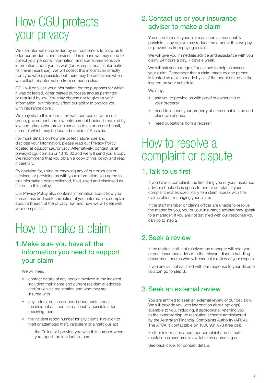## How CGU protects your privacy

We use information provided by our customers to allow us to offer our products and services. This means we may need to collect your personal information, and sometimes sensitive information about you as well (for example, health information for travel insurance). We will collect this information directly from you where possible, but there may be occasions when we collect this information from someone else.

CGU will only use your information for the purposes for which it was collected, other related purposes and as permitted or required by law. You may choose not to give us your information, but this may affect our ability to provide you with insurance cover.

We may share this information with companies within our group, government and law enforcement bodies if required by law and others who provide services to us or on our behalf, some of which may be located outside of Australia.

For more details on how we collect, store, use and disclose your information, please read our Privacy Policy located at cgu.com.au/privacy. Alternatively, contact us at privacy@cgu.com.au or 13 15 32 and we will send you a copy. We recommend that you obtain a copy of this policy and read it carefully.

By applying for, using or renewing any of our products or services, or providing us with your information, you agree to this information being collected, held, used and disclosed as set out in this policy.

Our Privacy Policy also contains information about how you can access and seek correction of your information, complain about a breach of the privacy law, and how we will deal with your complaint.

## How to make a claim

## 1.Make sure you have all the information you need to support your claim

We will need:

- contact details of any people involved in the incident, including their name and current residential address and/or vehicle registration and who they are insured with
- any letters, notices or court documents about the incident as soon as reasonably possible after receiving them
- the incident report number for any claims in relation to theft or attempted theft, vandalism or a malicious act
	- the Police will provide you with this number when you report the incident to them.

## 2.Contact us or your insurance adviser to make a claim

You need to make your claim as soon as reasonably possible – any delays may reduce the amount that we pay, or prevent us from paying a claim.

We will give you immediate advice and assistance with your claim, 24 hours a day, 7 days a week.

We will ask you a range of questions to help us assess your claim. Remember that a claim made by one person is treated as a claim made by all of the people listed as the insured on your schedule.

We may:

- ask you to provide us with proof of ownership of your property
- need to inspect your property at a reasonable time and place we choose
- need quotations from a repairer.

## How to resolve a complaint or dispute

## 1.Talk to us first

If you have a complaint, the first thing you or your insurance adviser should do is speak to one of our staff. If your complaint relates specifically to a claim, speak with the claims officer managing your claim.

If the staff member or claims officer are unable to resolve the matter for you, you or your insurance adviser may speak to a manager. If you are not satisfied with our response you can go to step 2.

## 2.Seek a review

If the matter is still not resolved the manager will refer you or your insurance adviser to the relevant dispute handling department or area who will conduct a review of your dispute.

If you are still not satisfied with our response to your dispute you can go to step 3.

## 3.Seek an external review

You are entitled to seek an external review of our decision. We will provide you with information about option(s) available to you, including, if appropriate, referring you to the external dispute resolution scheme administered by the Australian Financial Complaints Authority (AFCA). The AFCA is contactable on 1800 931 678 (free call).

Further information about our complaint and dispute resolution procedures is available by contacting us.

See back cover for contact details.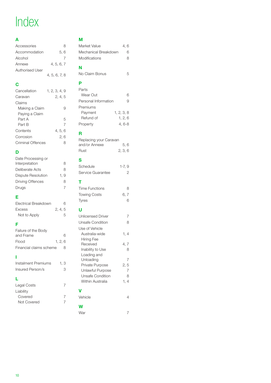## Index

## **A**

| Accessories     | 8             |
|-----------------|---------------|
| Accommodation   | 5.6           |
| Alcohol         |               |
| Annexe          | 4, 5, 6, 7    |
| Authorised User |               |
|                 | 4, 5, 6, 7, 8 |

### **C** Cancellation 1, 2, 3, 4, 9 Caravan 2, 4, 5 Claims Making a Claim 9 Paying a Claim Part A 5 Part B 7 Contents 4, 5, 6 Corrosion 2, 6 Criminal Offences 8

### **D**

| Date Processing or      |      |
|-------------------------|------|
| Interpretation          | 8    |
| Deliberate Acts         | 8    |
| Dispute Resolution      | 1. 9 |
| <b>Driving Offences</b> | 8    |
| Drugs                   | 7    |
|                         |      |

### **E**

| Electrical Breakdown | 6       |
|----------------------|---------|
| Excess               | 2, 4, 5 |
| Not to Apply         | 5.      |

### **F**

| Failure of the Body     |       |   |
|-------------------------|-------|---|
| and Frame               |       | 6 |
| Flood                   | 1.2.6 |   |
| Financial claims scheme |       | 8 |

### **I**

| Instalment Premiums | 1. 3 |
|---------------------|------|
| Insured Person/s    | 3    |

### **L**

| Legal Costs |  |
|-------------|--|
| Liability   |  |
| Covered     |  |
| Not Covered |  |
|             |  |

| м<br>Market Value                                                   | 4, 6                |
|---------------------------------------------------------------------|---------------------|
| Mechanical Breakdown<br>Modifications                               | 6<br>8              |
| N<br>No Claim Bonus                                                 | 5                   |
| Þ<br>Parts<br>Wear Out                                              | 6                   |
| Personal Information<br>Premiums                                    | 9                   |
| Payment<br>1, 2, 3, 8<br>Refund of<br>1, 2, 6<br>Property<br>4, 6-8 |                     |
| R                                                                   |                     |
| Replacing your Caravan<br>and/or Annexe<br>2, 3, 6<br>Rust          | 5.6                 |
| S<br>Schedule<br>$1-7,9$<br>Service Guarantee                       | 2                   |
| т                                                                   |                     |
| <b>Time Functions</b>                                               |                     |
| <b>Towing Costs</b>                                                 | 8<br>6, 7           |
| Tyres                                                               | 6                   |
| U                                                                   |                     |
| <b>Unlicensed Driver</b>                                            | 7                   |
| <b>Unsafe Condition</b>                                             | 8                   |
| Use of Vehicle<br>Australia-wide                                    | 1, 4                |
| <b>Hiring Fee</b><br>Received                                       | 4,7                 |
| Inability to Use                                                    | 8                   |
| Loading and<br>Unloading                                            | 7                   |
| Private Purpose                                                     | 2, 5                |
| Unlawful Purpose<br>Unsafe Condition                                | $\overline{7}$<br>8 |
| Within Australia                                                    | 1, 4                |
| v                                                                   |                     |
| Vehicle                                                             | 4                   |
| W<br>War                                                            |                     |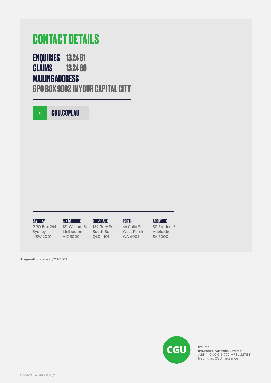## **CONTACT DETAILS**

**ENQUIRIES 13 24 81 CLAIMS 13 24 80**

## **MAILING ADDRESS**

**GPO BOX 9902 IN YOUR CAPITAL CITY**

**[CGU.COM.AU](http://CGU.COM.AU)**

#### **SYDNEY**

GPO Box 244 Sydney NSW 2001

**MELBOURNE** 181 William St Melbourne

VIC 3000

**BRISBANE** 189 Grey St South Bank

QLD 4101

**PERTH** 46 Colin St West Perth WA 6005

**ADELAIDE** 80 Flinders St Adelaide SA 5000

**Preparation date** 26/03/2021



Insurer Insurance Australia Limited ABN 11 000 016 722 AFSL 227681 trading as CGU Insurance